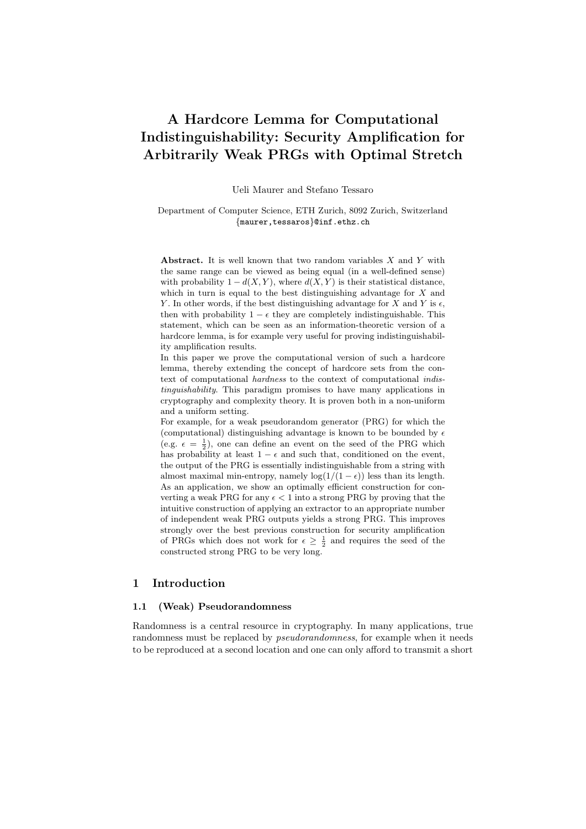# A Hardcore Lemma for Computational Indistinguishability: Security Amplification for Arbitrarily Weak PRGs with Optimal Stretch

Ueli Maurer and Stefano Tessaro

Department of Computer Science, ETH Zurich, 8092 Zurich, Switzerland {maurer,tessaros}@inf.ethz.ch

Abstract. It is well known that two random variables  $X$  and  $Y$  with the same range can be viewed as being equal (in a well-defined sense) with probability  $1 - d(X, Y)$ , where  $d(X, Y)$  is their statistical distance, which in turn is equal to the best distinguishing advantage for  $X$  and Y. In other words, if the best distinguishing advantage for X and Y is  $\epsilon$ , then with probability  $1 - \epsilon$  they are completely indistinguishable. This statement, which can be seen as an information-theoretic version of a hardcore lemma, is for example very useful for proving indistinguishability amplification results.

In this paper we prove the computational version of such a hardcore lemma, thereby extending the concept of hardcore sets from the context of computational hardness to the context of computational indistinguishability. This paradigm promises to have many applications in cryptography and complexity theory. It is proven both in a non-uniform and a uniform setting.

For example, for a weak pseudorandom generator (PRG) for which the (computational) distinguishing advantage is known to be bounded by  $\epsilon$ (e.g.  $\epsilon = \frac{1}{2}$ ), one can define an event on the seed of the PRG which has probability at least  $1 - \epsilon$  and such that, conditioned on the event, the output of the PRG is essentially indistinguishable from a string with almost maximal min-entropy, namely  $\log(1/(1 - \epsilon))$  less than its length. As an application, we show an optimally efficient construction for converting a weak PRG for any  $\epsilon$  < 1 into a strong PRG by proving that the intuitive construction of applying an extractor to an appropriate number of independent weak PRG outputs yields a strong PRG. This improves strongly over the best previous construction for security amplification of PRGs which does not work for  $\epsilon \geq \frac{1}{2}$  and requires the seed of the constructed strong PRG to be very long.

# 1 Introduction

# 1.1 (Weak) Pseudorandomness

Randomness is a central resource in cryptography. In many applications, true randomness must be replaced by *pseudorandomness*, for example when it needs to be reproduced at a second location and one can only afford to transmit a short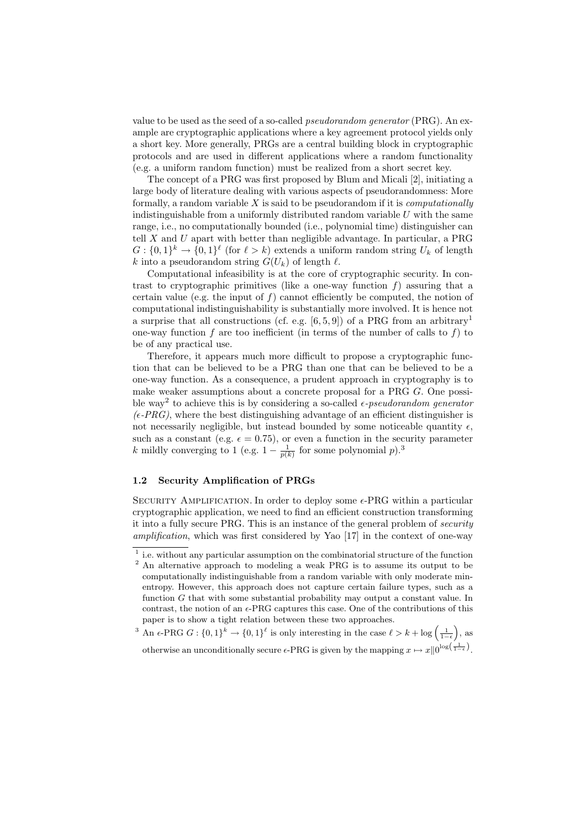value to be used as the seed of a so-called pseudorandom generator (PRG). An example are cryptographic applications where a key agreement protocol yields only a short key. More generally, PRGs are a central building block in cryptographic protocols and are used in different applications where a random functionality (e.g. a uniform random function) must be realized from a short secret key.

The concept of a PRG was first proposed by Blum and Micali [2], initiating a large body of literature dealing with various aspects of pseudorandomness: More formally, a random variable  $X$  is said to be pseudorandom if it is *computationally* indistinguishable from a uniformly distributed random variable  $U$  with the same range, i.e., no computationally bounded (i.e., polynomial time) distinguisher can tell  $X$  and  $U$  apart with better than negligible advantage. In particular, a PRG  $G: \{0,1\}^k \to \{0,1\}^{\ell}$  (for  $\ell > k$ ) extends a uniform random string  $U_k$  of length k into a pseudorandom string  $G(U_k)$  of length  $\ell$ .

Computational infeasibility is at the core of cryptographic security. In contrast to cryptographic primitives (like a one-way function  $f$ ) assuring that a certain value (e.g. the input of  $f$ ) cannot efficiently be computed, the notion of computational indistinguishability is substantially more involved. It is hence not a surprise that all constructions (cf. e.g. [6, 5, 9]) of a PRG from an arbitrary<sup>1</sup> one-way function f are too inefficient (in terms of the number of calls to f) to be of any practical use.

Therefore, it appears much more difficult to propose a cryptographic function that can be believed to be a PRG than one that can be believed to be a one-way function. As a consequence, a prudent approach in cryptography is to make weaker assumptions about a concrete proposal for a PRG G. One possible way<sup>2</sup> to achieve this is by considering a so-called  $\epsilon$ -pseudorandom generator  $(\epsilon$ -PRG), where the best distinguishing advantage of an efficient distinguisher is not necessarily negligible, but instead bounded by some noticeable quantity  $\epsilon$ , such as a constant (e.g.  $\epsilon = 0.75$ ), or even a function in the security parameter k mildly converging to 1 (e.g.  $1 - \frac{1}{p(k)}$  for some polynomial  $p$ ).<sup>3</sup>

# 1.2 Security Amplification of PRGs

SECURITY AMPLIFICATION. In order to deploy some  $\epsilon$ -PRG within a particular cryptographic application, we need to find an efficient construction transforming it into a fully secure PRG. This is an instance of the general problem of security amplification, which was first considered by Yao [17] in the context of one-way

<sup>&</sup>lt;sup>1</sup> i.e. without any particular assumption on the combinatorial structure of the function

<sup>2</sup> An alternative approach to modeling a weak PRG is to assume its output to be computationally indistinguishable from a random variable with only moderate minentropy. However, this approach does not capture certain failure types, such as a function G that with some substantial probability may output a constant value. In contrast, the notion of an  $\epsilon$ -PRG captures this case. One of the contributions of this paper is to show a tight relation between these two approaches.

<sup>&</sup>lt;sup>3</sup> An  $\epsilon$ -PRG  $G: \{0,1\}^k \to \{0,1\}^{\ell}$  is only interesting in the case  $\ell > k + \log\left(\frac{1}{1-\epsilon}\right)$ , as otherwise an unconditionally secure  $\epsilon$ -PRG is given by the mapping  $x \mapsto x||0^{\log(\frac{1}{1-\epsilon})}$ .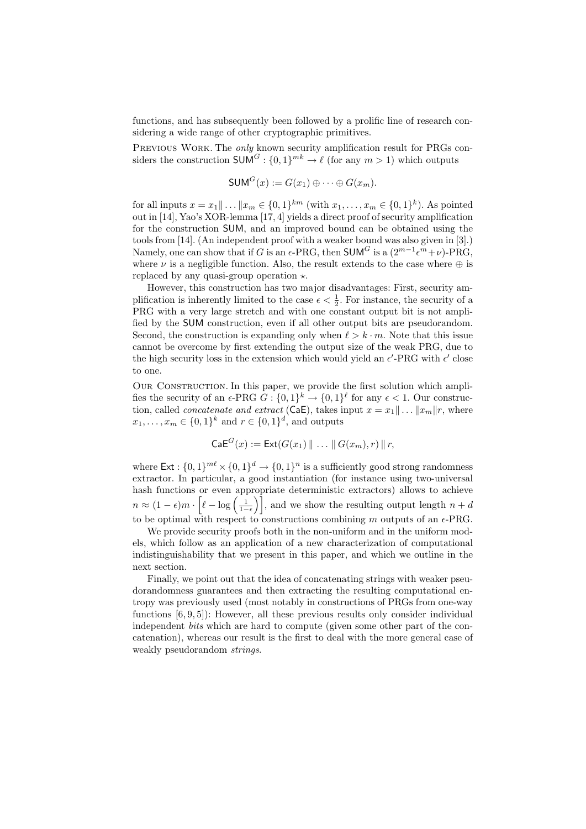functions, and has subsequently been followed by a prolific line of research considering a wide range of other cryptographic primitives.

PREVIOUS WORK. The *only* known security amplification result for PRGs considers the construction  $SUM^G: \{0,1\}^{mk} \to \ell$  (for any  $m > 1$ ) which outputs

$$
\mathsf{SUM}^G(x) := G(x_1) \oplus \cdots \oplus G(x_m).
$$

for all inputs  $x = x_1 || \dots || x_m \in \{0, 1\}^{km}$  (with  $x_1, \dots, x_m \in \{0, 1\}^k$ ). As pointed out in [14], Yao's XOR-lemma [17, 4] yields a direct proof of security amplification for the construction SUM, and an improved bound can be obtained using the tools from [14]. (An independent proof with a weaker bound was also given in [3].) Namely, one can show that if G is an  $\epsilon$ -PRG, then SUM<sup>G</sup> is a  $(2^{m-1} \epsilon^{m} + \nu)$ -PRG, where  $\nu$  is a negligible function. Also, the result extends to the case where  $\oplus$  is replaced by any quasi-group operation  $\star$ .

However, this construction has two major disadvantages: First, security amplification is inherently limited to the case  $\epsilon < \frac{1}{2}$ . For instance, the security of a PRG with a very large stretch and with one constant output bit is not amplified by the SUM construction, even if all other output bits are pseudorandom. Second, the construction is expanding only when  $\ell > k \cdot m$ . Note that this issue cannot be overcome by first extending the output size of the weak PRG, due to the high security loss in the extension which would yield an  $\epsilon'$ -PRG with  $\epsilon'$  close to one.

OUR CONSTRUCTION. In this paper, we provide the first solution which amplifies the security of an  $\epsilon$ -PRG  $G: \{0,1\}^k \to \{0,1\}^{\ell}$  for any  $\epsilon < 1$ . Our construction, called *concatenate and extract* (CaE), takes input  $x = x_1 || \dots ||x_m || r$ , where  $x_1, \ldots, x_m \in \{0,1\}^k$  and  $r \in \{0,1\}^d$ , and outputs

$$
\mathsf{CaE}^G(x) := \mathsf{Ext}(G(x_1) \parallel \ldots \parallel G(x_m), r) \parallel r,
$$

where  $\textsf{Ext}: \{0, 1\}^{m\ell} \times \{0, 1\}^d \to \{0, 1\}^n$  is a sufficiently good strong randomness extractor. In particular, a good instantiation (for instance using two-universal hash functions or even appropriate deterministic extractors) allows to achieve  $n \approx (1 - \epsilon)m \cdot \left[\ell - \log\left(\frac{1}{1-\epsilon}\right)\right],$  and we show the resulting output length  $n + d$ to be optimal with respect to constructions combining m outputs of an  $\epsilon$ -PRG.

We provide security proofs both in the non-uniform and in the uniform models, which follow as an application of a new characterization of computational indistinguishability that we present in this paper, and which we outline in the next section.

Finally, we point out that the idea of concatenating strings with weaker pseudorandomness guarantees and then extracting the resulting computational entropy was previously used (most notably in constructions of PRGs from one-way functions [6, 9, 5]): However, all these previous results only consider individual independent bits which are hard to compute (given some other part of the concatenation), whereas our result is the first to deal with the more general case of weakly pseudorandom strings.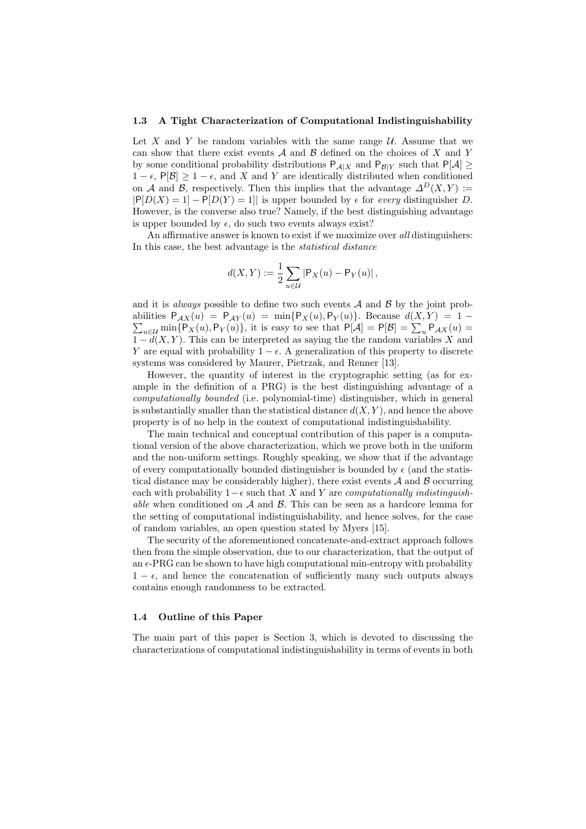#### 1.3 A Tight Characterization of Computational Indistinguishability

Let X and Y be random variables with the same range  $\mathcal{U}$ . Assume that we can show that there exist events  $A$  and  $B$  defined on the choices of  $X$  and  $Y$ by some conditional probability distributions  $P_{\mathcal{A}|X}$  and  $P_{\mathcal{B}|Y}$  such that  $P[\mathcal{A}] \ge$  $1 - \epsilon$ , P[ $\mathcal{B}$ ]  $\geq 1 - \epsilon$ , and X and Y are identically distributed when conditioned on A and B, respectively. Then this implies that the advantage  $\Delta^D(X, Y) :=$  $|P[D(X) = 1] - P[D(Y) = 1]|$  is upper bounded by  $\epsilon$  for every distinguisher D. However, is the converse also true? Namely, if the best distinguishing advantage is upper bounded by  $\epsilon$ , do such two events always exist?

An affirmative answer is known to exist if we maximize over all distinguishers: In this case, the best advantage is the statistical distance

$$
d(X,Y):=\frac{1}{2}\sum_{u\in\mathcal{U}}\left|\mathsf{P}_X(u)-\mathsf{P}_Y(u)\right|,
$$

and it is *always* possible to define two such events  $A$  and  $B$  by the joint prob- $\sum_{u\in\mathcal{U}}\min\{P_X(u),P_Y(u)\}\,$ , it is easy to see that  $P[\mathcal{A}]=P[\mathcal{B}]=\sum_u P_{\mathcal{A}X}(u)=$ abilities  $P_{AX}(u) = P_{AY}(u) = \min\{P_X(u), P_Y(u)\}\$ . Because  $d(X, Y) = 1$  $\overline{1-d(X,Y)}$ . This can be interpreted as saying the the random variables X and Y are equal with probability  $1 - \epsilon$ . A generalization of this property to discrete systems was considered by Maurer, Pietrzak, and Renner [13].

However, the quantity of interest in the cryptographic setting (as for example in the definition of a PRG) is the best distinguishing advantage of a computationally bounded (i.e. polynomial-time) distinguisher, which in general is substantially smaller than the statistical distance  $d(X, Y)$ , and hence the above property is of no help in the context of computational indistinguishability.

The main technical and conceptual contribution of this paper is a computational version of the above characterization, which we prove both in the uniform and the non-uniform settings. Roughly speaking, we show that if the advantage of every computationally bounded distinguisher is bounded by  $\epsilon$  (and the statistical distance may be considerably higher), there exist events  $A$  and  $B$  occurring each with probability  $1-\epsilon$  such that X and Y are *computationally indistinguish*able when conditioned on  $\mathcal A$  and  $\mathcal B$ . This can be seen as a hardcore lemma for the setting of computational indistinguishability, and hence solves, for the case of random variables, an open question stated by Myers [15].

The security of the aforementioned concatenate-and-extract approach follows then from the simple observation, due to our characterization, that the output of an  $\epsilon$ -PRG can be shown to have high computational min-entropy with probability  $1 - \epsilon$ , and hence the concatenation of sufficiently many such outputs always contains enough randomness to be extracted.

### 1.4 Outline of this Paper

The main part of this paper is Section 3, which is devoted to discussing the characterizations of computational indistinguishability in terms of events in both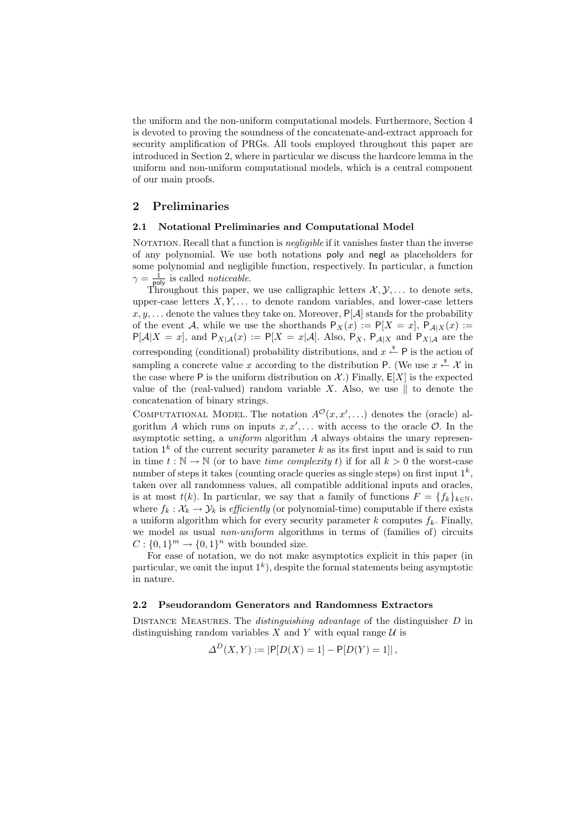the uniform and the non-uniform computational models. Furthermore, Section 4 is devoted to proving the soundness of the concatenate-and-extract approach for security amplification of PRGs. All tools employed throughout this paper are introduced in Section 2, where in particular we discuss the hardcore lemma in the uniform and non-uniform computational models, which is a central component of our main proofs.

# 2 Preliminaries

### 2.1 Notational Preliminaries and Computational Model

NOTATION. Recall that a function is *negligible* if it vanishes faster than the inverse of any polynomial. We use both notations poly and negl as placeholders for some polynomial and negligible function, respectively. In particular, a function  $\gamma = \frac{1}{\text{poly}}$  is called *noticeable*.

Throughout this paper, we use calligraphic letters  $\mathcal{X}, \mathcal{Y}, \ldots$  to denote sets, upper-case letters  $X, Y, \ldots$  to denote random variables, and lower-case letters  $x, y, \ldots$  denote the values they take on. Moreover,  $P[A]$  stands for the probability of the event A, while we use the shorthands  $P_X(x) := P[X = x]$ ,  $P_{A|X}(x) :=$  $P[A|X=x]$ , and  $P_{X|A}(x) := P[X=x|A]$ . Also,  $P_X$ ,  $P_{A|X}$  and  $P_{X|A}$  are the corresponding (conditional) probability distributions, and  $x \stackrel{\text{*}}{\leftarrow} P$  is the action of sampling a concrete value x according to the distribution P. (We use  $x \stackrel{\text{s}}{\leftarrow} \mathcal{X}$  in the case where P is the uniform distribution on  $\mathcal{X}$ .) Finally,  $E[X]$  is the expected value of the (real-valued) random variable X. Also, we use  $\parallel$  to denote the concatenation of binary strings.

COMPUTATIONAL MODEL. The notation  $A^{\mathcal{O}}(x, x', \ldots)$  denotes the (oracle) algorithm A which runs on inputs  $x, x', \ldots$  with access to the oracle  $\mathcal{O}$ . In the asymptotic setting, a *uniform* algorithm  $\tilde{A}$  always obtains the unary representation  $1^k$  of the current security parameter k as its first input and is said to run in time  $t : \mathbb{N} \to \mathbb{N}$  (or to have *time complexity t*) if for all  $k > 0$  the worst-case number of steps it takes (counting oracle queries as single steps) on first input  $1^k$ , taken over all randomness values, all compatible additional inputs and oracles, is at most  $t(k)$ . In particular, we say that a family of functions  $F = \{f_k\}_{k \in \mathbb{N}}$ , where  $f_k : \mathcal{X}_k \to \mathcal{Y}_k$  is efficiently (or polynomial-time) computable if there exists a uniform algorithm which for every security parameter  $k$  computes  $f_k$ . Finally, we model as usual *non-uniform* algorithms in terms of (families of) circuits  $C: \{0,1\}^m \to \{0,1\}^n$  with bounded size.

For ease of notation, we do not make asymptotics explicit in this paper (in particular, we omit the input  $1^k$ ), despite the formal statements being asymptotic in nature.

# 2.2 Pseudorandom Generators and Randomness Extractors

Distance Measures. The distinguishing advantage of the distinguisher D in distinguishing random variables X and Y with equal range  $U$  is

$$
\Delta^D(X, Y) := |P[D(X) = 1] - P[D(Y) = 1]|,
$$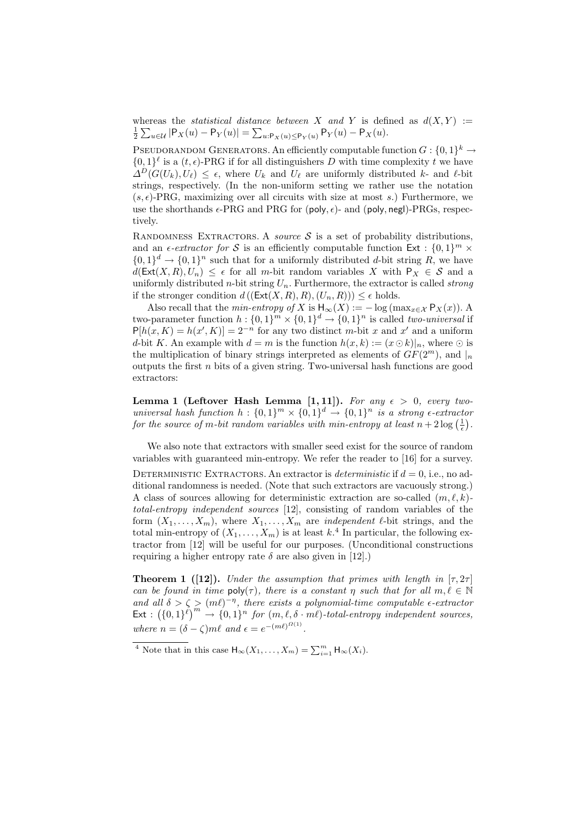whereas the *statistical distance between* X and Y is defined as  $d(X, Y) :=$  $\frac{1}{2} \sum_{u \in \mathcal{U}} |\mathsf{P}_X(u) - \mathsf{P}_Y(u)| = \sum_{u: \mathsf{P}_X(u) \leq \mathsf{P}_Y(u)} \mathsf{P}_Y(u) - \mathsf{P}_X(u).$ 

PSEUDORANDOM GENERATORS. An efficiently computable function  $G: \{0,1\}^k \to$  $\{0,1\}^{\ell}$  is a  $(t,\epsilon)$ -PRG if for all distinguishers D with time complexity t we have  $\Delta^D(G(U_k), U_\ell) \leq \epsilon$ , where  $U_k$  and  $U_\ell$  are uniformly distributed k- and  $\ell$ -bit strings, respectively. (In the non-uniform setting we rather use the notation  $(s, \epsilon)$ -PRG, maximizing over all circuits with size at most s.) Furthermore, we use the shorthands  $\epsilon$ -PRG and PRG for (poly,  $\epsilon$ )- and (poly, negl)-PRGs, respectively.

RANDOMNESS EXTRACTORS. A *source*  $S$  is a set of probability distributions, and an  $\epsilon$ -extractor for S is an efficiently computable function  $Ext : \{0,1\}^m$  ×  $\{0,1\}^d \to \{0,1\}^n$  such that for a uniformly distributed d-bit string R, we have  $d(\textsf{Ext}(X,R), U_n) \leq \epsilon$  for all m-bit random variables X with  $P_X \in \mathcal{S}$  and a uniformly distributed *n*-bit string  $U_n$ . Furthermore, the extractor is called *strong* if the stronger condition  $d((\text{Ext}(X,R), R), (U_n, R))) \leq \epsilon$  holds.

Also recall that the *min-entropy of* X is  $H_{\infty}(X) := -\log(\max_{x \in \mathcal{X}} P_X(x))$ . A two-parameter function  $h: \{0,1\}^m \times \{0,1\}^d \rightarrow \{0,1\}^n$  is called *two-universal* if  $P[h(x, K) = h(x', K)] = 2^{-n}$  for any two distinct m-bit x and x' and a uniform d-bit K. An example with  $d = m$  is the function  $h(x, k) := (x \odot k)|_n$ , where  $\odot$  is the multiplication of binary strings interpreted as elements of  $GF(2<sup>m</sup>)$ , and  $\vert_n$ outputs the first  $n$  bits of a given string. Two-universal hash functions are good extractors:

Lemma 1 (Leftover Hash Lemma [1, 11]). For any  $\epsilon > 0$ , every twouniversal hash function  $h: \{0,1\}^m \times \{0,1\}^d \rightarrow \{0,1\}^n$  is a strong  $\epsilon$ -extractor for the source of m-bit random variables with min-entropy at least  $n + 2\log\left(\frac{1}{\epsilon}\right)$ .

We also note that extractors with smaller seed exist for the source of random variables with guaranteed min-entropy. We refer the reader to [16] for a survey.

DETERMINISTIC EXTRACTORS. An extractor is *deterministic* if  $d = 0$ , i.e., no additional randomness is needed. (Note that such extractors are vacuously strong.) A class of sources allowing for deterministic extraction are so-called  $(m, \ell, k)$ total-entropy independent sources [12], consisting of random variables of the form  $(X_1, \ldots, X_m)$ , where  $X_1, \ldots, X_m$  are *independent*  $\ell$ -bit strings, and the total min-entropy of  $(X_1, \ldots, X_m)$  is at least  $k$ .<sup>4</sup> In particular, the following extractor from [12] will be useful for our purposes. (Unconditional constructions requiring a higher entropy rate  $\delta$  are also given in [12].)

**Theorem 1** ([12]). Under the assumption that primes with length in  $[\tau, 2\tau]$ can be found in time  $\text{poly}(\tau)$ , there is a constant  $\eta$  such that for all  $m, \ell \in \mathbb{N}$ and all  $\delta > \zeta > (m\ell)^{-\eta}$ , there exists a polynomial-time computable  $\epsilon$ -extractor  $\textsf{Ext}: \left(\{0,1\}^\ell\right)^m \to \{0,1\}^n$  for  $(m,\ell,\delta \cdot m\ell)$ -total-entropy independent sources, where  $n = (\delta - \zeta)m\ell$  and  $\epsilon = e^{-(m\ell)^{\Omega(1)}}$ .

<sup>&</sup>lt;sup>4</sup> Note that in this case  $\mathsf{H}_{\infty}(X_1,\ldots,X_m)=\sum_{i=1}^m \mathsf{H}_{\infty}(X_i)$ .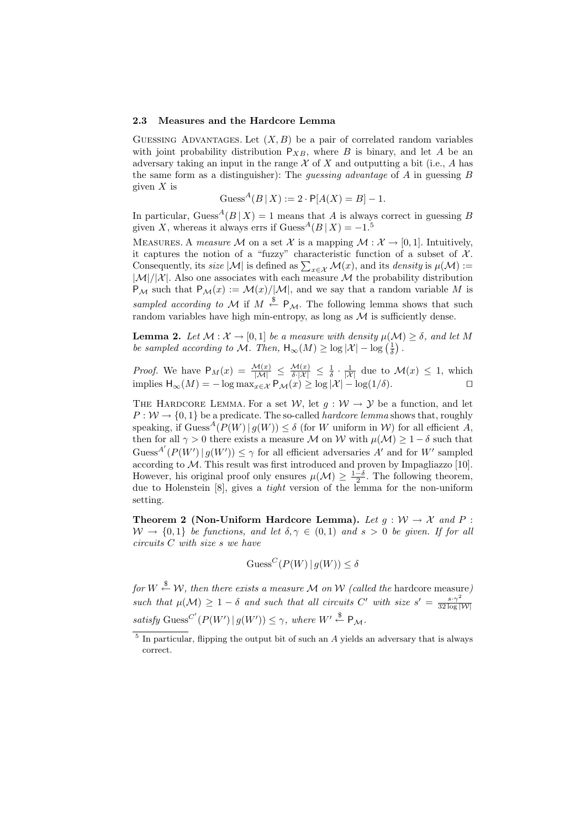#### 2.3 Measures and the Hardcore Lemma

GUESSING ADVANTAGES. Let  $(X, B)$  be a pair of correlated random variables with joint probability distribution  $P_{XB}$ , where B is binary, and let A be an adversary taking an input in the range  $X$  of  $X$  and outputting a bit (i.e.,  $A$  has the same form as a distinguisher): The *guessing advantage* of  $A$  in guessing  $B$ given  $X$  is

$$
Guss^{A}(B | X) := 2 \cdot P[A(X) = B] - 1.
$$

In particular, Guess<sup> $A(B | X) = 1$ </sup> means that A is always correct in guessing B given X, whereas it always errs if  $\text{Guss}^A(B | X) = -1$ .

MEASURES. A measure M on a set X is a mapping  $M : \mathcal{X} \to [0,1]$ . Intuitively, it captures the notion of a "fuzzy" characteristic function of a subset of  $\mathcal{X}$ . Consequently, its *size* |M| is defined as  $\sum_{x \in \mathcal{X}} \mathcal{M}(x)$ , and its *density* is  $\mu(\mathcal{M})$  :=  $|\mathcal{M}|/|\mathcal{X}|$ . Also one associates with each measure M the probability distribution  $P_M$  such that  $P_M(x) := \mathcal{M}(x)/|\mathcal{M}|$ , and we say that a random variable M is sampled according to M if  $M \stackrel{\$}{\leftarrow} P_M$ . The following lemma shows that such random variables have high min-entropy, as long as  $M$  is sufficiently dense.

**Lemma 2.** Let  $\mathcal{M}: \mathcal{X} \to [0, 1]$  be a measure with density  $\mu(\mathcal{M}) \geq \delta$ , and let M be sampled according to M. Then,  $\mathsf{H}_{\infty}(M) \geq \log |\mathcal{X}| - \log \left(\frac{1}{\delta}\right)$ .

*Proof.* We have  $P_M(x) = \frac{\mathcal{M}(x)}{|\mathcal{M}|} \leq \frac{\mathcal{M}(x)}{\delta |X|} \leq \frac{1}{\delta} \cdot \frac{1}{|X|}$  due to  $\mathcal{M}(x) \leq 1$ , which implies  $H_{\infty}(M) = -\log \max_{x \in \mathcal{X}} P_{\mathcal{M}}(x) \ge \log |\mathcal{X}| - \log(1/\delta).$ 

THE HARDCORE LEMMA. For a set  $W$ , let  $g: W \rightarrow Y$  be a function, and let  $P: W \to \{0, 1\}$  be a predicate. The so-called *hardcore lemma* shows that, roughly speaking, if  $Guss^A(P(W) | q(W)) \le \delta$  (for W uniform in W) for all efficient A, then for all  $\gamma > 0$  there exists a measure M on W with  $\mu(\mathcal{M}) \geq 1 - \delta$  such that Guess<sup>A'</sup> $(P(W') | g(W')) \leq \gamma$  for all efficient adversaries A' and for W' sampled according to M. This result was first introduced and proven by Impagliazzo [10]. However, his original proof only ensures  $\mu(\mathcal{M}) \geq \frac{1-\delta}{2}$ . The following theorem, due to Holenstein [8], gives a *tight* version of the lemma for the non-uniform setting.

Theorem 2 (Non-Uniform Hardcore Lemma). Let  $q : \mathcal{W} \to \mathcal{X}$  and P :  $W \to \{0, 1\}$  be functions, and let  $\delta, \gamma \in (0, 1)$  and  $s > 0$  be given. If for all circuits C with size s we have

$$
Guss^{C}(P(W) | g(W)) \le \delta
$$

for  $W \stackrel{\$}{\leftarrow} \mathcal{W},$  then there exists a measure M on W (called the hardcore measure) such that  $\mu(\mathcal{M}) \geq 1 - \delta$  and such that all circuits C' with size  $s' = \frac{s \cdot \gamma^2}{32 \log n}$  $32 \log |\mathcal{W}|$ satisfy Guess<sup>C'</sup>  $(P(W') | g(W')) \leq \gamma$ , where  $W' \stackrel{\$}{\leftarrow} P_{\mathcal{M}}$ .

<sup>&</sup>lt;sup>5</sup> In particular, flipping the output bit of such an A yields an adversary that is always correct.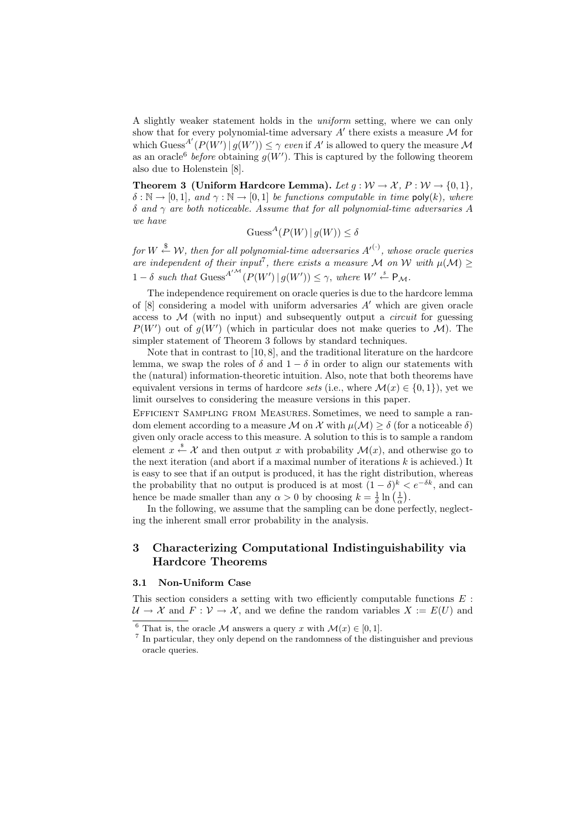A slightly weaker statement holds in the uniform setting, where we can only show that for every polynomial-time adversary  $A'$  there exists a measure  $\mathcal M$  for which Guess<sup>A'</sup> $(P(W') | g(W')) \leq \gamma$  even if A' is allowed to query the measure M as an oracle<sup>6</sup> before obtaining  $g(W')$ . This is captured by the following theorem also due to Holenstein [8].

Theorem 3 (Uniform Hardcore Lemma). Let  $q : \mathcal{W} \to \mathcal{X}, P : \mathcal{W} \to \{0, 1\},\$  $\delta : \mathbb{N} \to [0,1],$  and  $\gamma : \mathbb{N} \to [0,1]$  be functions computable in time poly(k), where δ and  $γ$  are both noticeable. Assume that for all polynomial-time adversaries A we have

$$
\text{Guess}^A(P(W) | g(W)) \le \delta
$$

for  $W \stackrel{\$}{\leftarrow} \mathcal{W},$  then for all polynomial-time adversaries  $A'^{(\cdot)}$ , whose oracle queries are independent of their input<sup>7</sup>, there exists a measure M on W with  $\mu(\mathcal{M}) \geq$  $1 - \delta$  such that Guess<sup>A'M</sup>  $(P(W') | g(W')) \leq \gamma$ , where  $W' \stackrel{\$}{\leftarrow} P_{\mathcal{M}}$ .

The independence requirement on oracle queries is due to the hardcore lemma of  $[8]$  considering a model with uniform adversaries  $A'$  which are given oracle access to  $M$  (with no input) and subsequently output a *circuit* for guessing  $P(W')$  out of  $g(W')$  (which in particular does not make queries to M). The simpler statement of Theorem 3 follows by standard techniques.

Note that in contrast to [10, 8], and the traditional literature on the hardcore lemma, we swap the roles of  $\delta$  and  $1 - \delta$  in order to align our statements with the (natural) information-theoretic intuition. Also, note that both theorems have equivalent versions in terms of hardcore sets (i.e., where  $\mathcal{M}(x) \in \{0,1\}$ ), yet we limit ourselves to considering the measure versions in this paper.

Efficient Sampling from Measures. Sometimes, we need to sample a random element according to a measure M on X with  $\mu(\mathcal{M}) \geq \delta$  (for a noticeable  $\delta$ ) given only oracle access to this measure. A solution to this is to sample a random element  $x \stackrel{\$}{\leftarrow} \mathcal{X}$  and then output x with probability  $\mathcal{M}(x)$ , and otherwise go to the next iteration (and abort if a maximal number of iterations  $k$  is achieved.) It is easy to see that if an output is produced, it has the right distribution, whereas the probability that no output is produced is at most  $(1 - \delta)^k < e^{-\delta k}$ , and can hence be made smaller than any  $\alpha > 0$  by choosing  $k = \frac{1}{\delta} \ln \left( \frac{1}{\alpha} \right)$ .

In the following, we assume that the sampling can be done perfectly, neglecting the inherent small error probability in the analysis.

# 3 Characterizing Computational Indistinguishability via Hardcore Theorems

#### 3.1 Non-Uniform Case

This section considers a setting with two efficiently computable functions  $E$ :  $\mathcal{U} \to \mathcal{X}$  and  $F: \mathcal{V} \to \mathcal{X}$ , and we define the random variables  $X := E(U)$  and

<sup>&</sup>lt;sup>6</sup> That is, the oracle M answers a query x with  $\mathcal{M}(x) \in [0, 1]$ .

<sup>&</sup>lt;sup>7</sup> In particular, they only depend on the randomness of the distinguisher and previous oracle queries.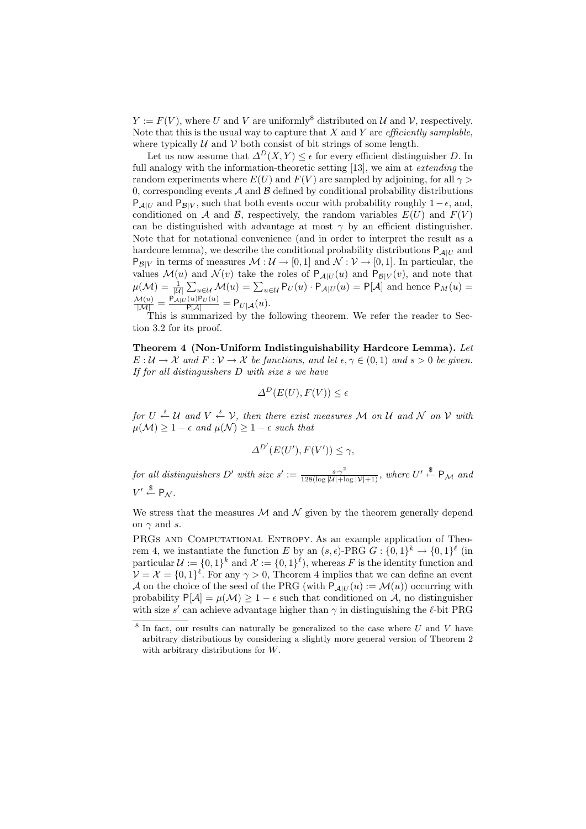$Y := F(V)$ , where U and V are uniformly<sup>8</sup> distributed on U and V, respectively. Note that this is the usual way to capture that  $X$  and  $Y$  are *efficiently samplable*. where typically  $U$  and  $V$  both consist of bit strings of some length.

Let us now assume that  $\Delta^D(X, Y) \leq \epsilon$  for every efficient distinguisher D. In full analogy with the information-theoretic setting [13], we aim at *extending* the random experiments where  $E(U)$  and  $F(V)$  are sampled by adjoining, for all  $\gamma >$ 0, corresponding events  $A$  and  $B$  defined by conditional probability distributions  $P_{A|U}$  and  $P_{B|V}$ , such that both events occur with probability roughly  $1 - \epsilon$ , and, conditioned on A and B, respectively, the random variables  $E(U)$  and  $F(V)$ can be distinguished with advantage at most  $\gamma$  by an efficient distinguisher. Note that for notational convenience (and in order to interpret the result as a hardcore lemma), we describe the conditional probability distributions  $P_{\mathcal{A}|U}$  and  $P_{\mathcal{B}|V}$  in terms of measures  $\mathcal{M}: \mathcal{U} \to [0,1]$  and  $\mathcal{N}: \mathcal{V} \to [0,1]$ . In particular, the values  $\mathcal{M}(u)$  and  $\mathcal{N}(v)$  take the roles of  $P_{\mathcal{A}|U}(u)$  and  $P_{\mathcal{B}|V}(v)$ , and note that  $\mu(\mathcal{M}) = \frac{1}{|\mathcal{U}|} \sum_{u \in \mathcal{U}} \mathcal{M}(u) = \sum_{u \in \mathcal{U}} P_U(u) \cdot P_{\mathcal{A}|U}(u) = P[\mathcal{A}]$  and hence  $P_M(u) =$  $\frac{\mathcal{M}(u)}{|\mathcal{M}|} = \frac{\mathsf{P}_{\mathcal{A}|U}(u)\mathsf{P}_{U}(u)}{\mathsf{P}[\mathcal{A}]} = \mathsf{P}_{U|\mathcal{A}}(u).$ 

This is summarized by the following theorem. We refer the reader to Section 3.2 for its proof.

Theorem 4 (Non-Uniform Indistinguishability Hardcore Lemma). Let  $E: \mathcal{U} \to \mathcal{X}$  and  $F: \mathcal{V} \to \mathcal{X}$  be functions, and let  $\epsilon, \gamma \in (0,1)$  and  $s > 0$  be given. If for all distinguishers D with size s we have

$$
\Delta^D(E(U), F(V)) \le \epsilon
$$

for  $U \stackrel{s}{\leftarrow} \mathcal{U}$  and  $V \stackrel{s}{\leftarrow} \mathcal{V}$ , then there exist measures M on U and N on V with  $\mu(\mathcal{M}) \geq 1 - \epsilon$  and  $\mu(\mathcal{N}) \geq 1 - \epsilon$  such that

$$
\Delta^{D'}(E(U'), F(V')) \le \gamma,
$$

for all distinguishers D' with size  $s' := \frac{s \cdot \gamma^2}{128(\log |U| + \log |V| + 1)}$ , where  $U' \stackrel{\$}{\leftarrow} P_{\mathcal{M}}$  and  $V' \overset{\$}{\leftarrow} \mathsf{P}_{\mathcal{N}}$ .

We stress that the measures  $\mathcal M$  and  $\mathcal N$  given by the theorem generally depend on  $\gamma$  and s.

PRGs AND COMPUTATIONAL ENTROPY. As an example application of Theorem 4, we instantiate the function E by an  $(s, \epsilon)$ -PRG  $G : \{0,1\}^k \to \{0,1\}^{\ell}$  (in particular  $\mathcal{U} := \{0,1\}^k$  and  $\mathcal{X} := \{0,1\}^{\ell}$ , whereas F is the identity function and  $\mathcal{V} = \mathcal{X} = \{0,1\}^{\ell}$ . For any  $\gamma > 0$ , Theorem 4 implies that we can define an event A on the choice of the seed of the PRG (with  $P_{\mathcal{A}|U}(u) := \mathcal{M}(u)$ ) occurring with probability  $P[A] = \mu(M) \ge 1 - \epsilon$  such that conditioned on A, no distinguisher with size s' can achieve advantage higher than  $\gamma$  in distinguishing the  $\ell$ -bit PRG

 $8$  In fact, our results can naturally be generalized to the case where U and V have arbitrary distributions by considering a slightly more general version of Theorem 2 with arbitrary distributions for W.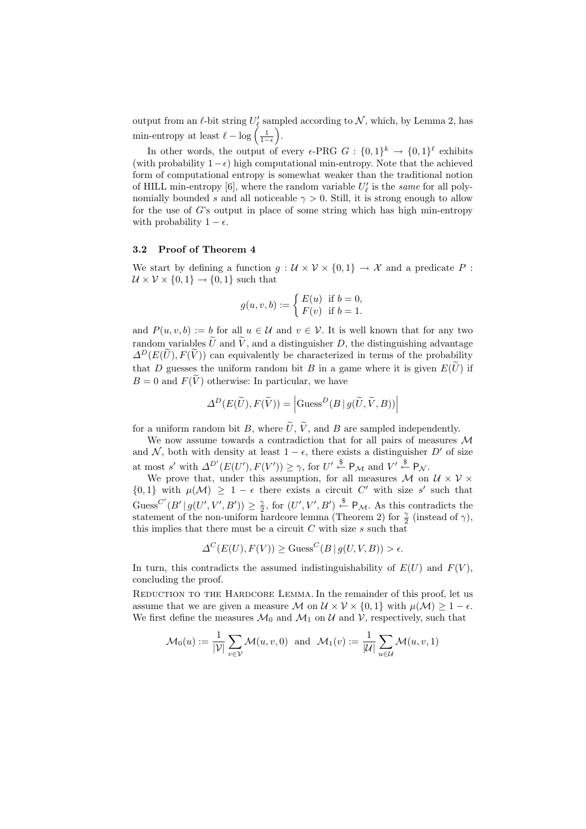output from an  $\ell$ -bit string  $U'_\ell$  sampled according to  $\mathcal N$ , which, by Lemma 2, has min-entropy at least  $\ell - \log\left(\frac{1}{1-\epsilon}\right)$ .

In other words, the output of every  $\epsilon$ -PRG  $G : \{0,1\}^k \to \{0,1\}^{\ell}$  exhibits (with probability  $1-\epsilon$ ) high computational min-entropy. Note that the achieved form of computational entropy is somewhat weaker than the traditional notion of HILL min-entropy [6], where the random variable  $U'_{\ell}$  is the *same* for all polynomially bounded s and all noticeable  $\gamma > 0$ . Still, it is strong enough to allow for the use of  $G$ 's output in place of some string which has high min-entropy with probability  $1 - \epsilon$ .

#### 3.2 Proof of Theorem 4

We start by defining a function  $g: \mathcal{U} \times \mathcal{V} \times \{0,1\} \to \mathcal{X}$  and a predicate P:  $U \times V \times \{0, 1\} \rightarrow \{0, 1\}$  such that

$$
g(u, v, b) := \begin{cases} E(u) & \text{if } b = 0, \\ F(v) & \text{if } b = 1. \end{cases}
$$

and  $P(u, v, b) := b$  for all  $u \in \mathcal{U}$  and  $v \in \mathcal{V}$ . It is well known that for any two random variables  $\tilde{U}$  and  $\tilde{V}$ , and a distinguisher D, the distinguishing advantage  $\Delta^D(E(\tilde{U}), F(\tilde{V}))$  can equivalently be characterized in terms of the probability that D guesses the uniform random bit B in a game where it is given  $E(\tilde{U})$  if  $B = 0$  and  $F(\tilde{V})$  otherwise: In particular, we have

$$
\Delta^{D}(E(\widetilde{U}), F(\widetilde{V})) = \left| \text{Guess}^{D}(B | g(\widetilde{U}, \widetilde{V}, B)) \right|
$$

for a uniform random bit B, where  $\tilde{U}$ ,  $\tilde{V}$ , and B are sampled independently.

We now assume towards a contradiction that for all pairs of measures M and N, both with density at least  $1 - \epsilon$ , there exists a distinguisher D' of size at most s' with  $\Delta^{D'}(E(U'), F(V')) \ge \gamma$ , for  $U' \stackrel{\$}{\leftarrow} P_{\mathcal{M}}$  and  $V' \stackrel{\$}{\leftarrow} P_{\mathcal{N}}$ .

We prove that, under this assumption, for all measures M on  $\mathcal{U} \times \mathcal{V} \times$  $\{0,1\}$  with  $\mu(\mathcal{M}) \geq 1 - \epsilon$  there exists a circuit C' with size s' such that Guess<sup>C'</sup> $(B' | g(U', V', B')) \geq \frac{\gamma}{2}$ , for  $(U', V', B') \stackrel{\$}{\leftarrow} P_{\mathcal{M}}$ . As this contradicts the statement of the non-uniform hardcore lemma (Theorem 2) for  $\frac{\gamma}{2}$  (instead of  $\gamma$ ), this implies that there must be a circuit  $C$  with size  $s$  such that

$$
\Delta^C(E(U), F(V)) \ge \text{Gauss}^C(B \mid g(U, V, B)) > \epsilon.
$$

In turn, this contradicts the assumed indistinguishability of  $E(U)$  and  $F(V)$ , concluding the proof.

Reduction to the Hardcore Lemma. In the remainder of this proof, let us assume that we are given a measure M on  $\mathcal{U} \times \mathcal{V} \times \{0,1\}$  with  $\mu(\mathcal{M}) \geq 1 - \epsilon$ . We first define the measures  $\mathcal{M}_0$  and  $\mathcal{M}_1$  on  $\mathcal{U}$  and  $\mathcal{V}$ , respectively, such that

$$
\mathcal{M}_0(u) := \frac{1}{|\mathcal{V}|} \sum_{v \in \mathcal{V}} \mathcal{M}(u, v, 0) \text{ and } \mathcal{M}_1(v) := \frac{1}{|\mathcal{U}|} \sum_{u \in \mathcal{U}} \mathcal{M}(u, v, 1)
$$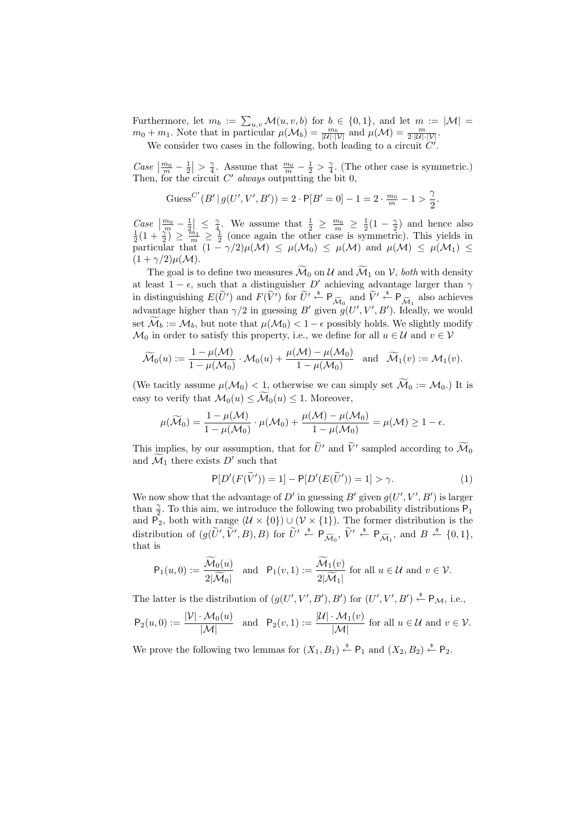Furthermore, let  $m_b := \sum_{u,v} \mathcal{M}(u,v,b)$  for  $b \in \{0,1\}$ , and let  $m := |\mathcal{M}| =$  $m_0 + m_1$ . Note that in particular  $\mu(\mathcal{M}_b) = \frac{m_b}{|\mathcal{U}| \cdot |\mathcal{V}|}$  and  $\mu(\mathcal{M}) = \frac{m}{2 \cdot |\mathcal{U}| \cdot |\mathcal{V}|}$ .

We consider two cases in the following, both leading to a circuit  $C'$ .

Case  $\left|\frac{m_0}{m}-\frac{1}{2}\right| > \frac{\gamma}{4}$ . Assume that  $\frac{m_0}{m}-\frac{1}{2} > \frac{\gamma}{4}$ . (The other case is symmetric.) Then, for the circuit  $C<sup>'</sup>$  always outputting the bit  $0$ ,

$$
Guss^{C'}(B' | g(U', V', B')) = 2 \cdot P[B' = 0] - 1 = 2 \cdot \frac{m_0}{m} - 1 > \frac{\gamma}{2}.
$$

Case  $\left|\frac{m_0}{m}-\frac{1}{2}\right| \leq \frac{\gamma}{4}$ . We assume that  $\frac{1}{2} \geq \frac{m_0}{m} \geq \frac{1}{2}(1-\frac{\gamma}{2})$  and hence also  $\frac{1}{2}(1+\frac{\gamma}{2}) \geq \frac{m_1}{m} \geq \frac{1}{2}$  (once again the other case is symmetric). This yields in particular that  $(1 - \gamma/2)\mu(\mathcal{M}) \leq \mu(\mathcal{M}_0) \leq \mu(\mathcal{M})$  and  $\mu(\mathcal{M}) \leq \mu(\mathcal{M}_1) \leq$  $(1 + \gamma/2)\mu(\mathcal{M}).$ 

The goal is to define two measures  $\widetilde{\mathcal{M}}_0$  on U and  $\widetilde{\mathcal{M}}_1$  on V, both with density at least  $1 - \epsilon$ , such that a distinguisher D' achieving advantage larger than  $\gamma$ in distinguishing  $E(\tilde{U}')$  and  $F(\tilde{V}')$  for  $\tilde{U}' \stackrel{\text{a}}{\leftarrow} P_{\widetilde{\mathcal{M}}_0}$  and  $\tilde{V}' \stackrel{\text{a}}{\leftarrow} P_{\widetilde{\mathcal{M}}_1}$  also achieves advantage higher than  $\gamma/2$  in guessing B' given  $g(U', V', B')$ . Ideally, we would set  $\widetilde{\mathcal{M}}_b := \mathcal{M}_b$ , but note that  $\mu(\mathcal{M}_0) < 1 - \epsilon$  possibly holds. We slightly modify  $\mathcal{M}_0$  in order to satisfy this property, i.e., we define for all  $u \in \mathcal{U}$  and  $v \in \mathcal{V}$ 

$$
\widetilde{\mathcal{M}}_0(u) := \frac{1 - \mu(\mathcal{M})}{1 - \mu(\mathcal{M}_0)} \cdot \mathcal{M}_0(u) + \frac{\mu(\mathcal{M}) - \mu(\mathcal{M}_0)}{1 - \mu(\mathcal{M}_0)} \quad \text{and} \quad \widetilde{\mathcal{M}}_1(v) := \mathcal{M}_1(v).
$$

(We tacitly assume  $\mu(\mathcal{M}_0) < 1$ , otherwise we can simply set  $\widetilde{\mathcal{M}}_0 := \mathcal{M}_0$ .) It is easy to verify that  $\mathcal{M}_0(u) \leq \widetilde{\mathcal{M}}_0(u) \leq 1$ . Moreover,

$$
\mu(\widetilde{\mathcal{M}}_0) = \frac{1 - \mu(\mathcal{M})}{1 - \mu(\mathcal{M}_0)} \cdot \mu(\mathcal{M}_0) + \frac{\mu(\mathcal{M}) - \mu(\mathcal{M}_0)}{1 - \mu(\mathcal{M}_0)} = \mu(\mathcal{M}) \ge 1 - \epsilon.
$$

This implies, by our assumption, that for  $\tilde{U}'$  and  $\tilde{V}'$  sampled according to  $\tilde{\mathcal{M}}_0$ and  $\mathcal{M}_1$  there exists  $D'$  such that

$$
P[D'(F(\widetilde{V}')) = 1] - P[D'(E(\widetilde{U}')) = 1] > \gamma.
$$
\n(1)

We now show that the advantage of D' in guessing B' given  $g(U', V', B')$  is larger than  $\frac{\gamma}{2}$ . To this aim, we introduce the following two probability distributions  $P_1$ and P<sub>2</sub>, both with range  $(U \times \{0\}) \cup (V \times \{1\})$ . The former distribution is the distribution of  $(g(\widetilde{U}', \widetilde{V}', B), B)$  for  $\widetilde{U}' \stackrel{\hspace{0.1em}\mathsf{\scriptscriptstyle\$}}{\leftarrow} \mathsf{P}_{\widetilde{\mathcal{M}}_0}, \widetilde{V}' \stackrel{\hspace{0.1em}\mathsf{\scriptscriptstyle\$}}{\leftarrow} \mathsf{P}_{\widetilde{\mathcal{M}}_1},$  and  $B \stackrel{\hspace{0.1em}\mathsf{\scriptscriptstyle\$}}{\leftarrow} \{0,1\},$ that is

$$
\mathsf{P}_1(u,0) := \frac{\widetilde{\mathcal{M}}_0(u)}{2|\widetilde{\mathcal{M}}_0|} \quad \text{and} \quad \mathsf{P}_1(v,1) := \frac{\widetilde{\mathcal{M}}_1(v)}{2|\widetilde{\mathcal{M}}_1|} \text{ for all } u \in \mathcal{U} \text{ and } v \in \mathcal{V}.
$$

The latter is the distribution of  $(g(U', V', B'), B')$  for  $(U', V', B') \stackrel{\$}{\leftarrow} P_{\mathcal{M}}$ , i.e.,

$$
\mathsf{P}_2(u,0) := \frac{|\mathcal{V}| \cdot \mathcal{M}_0(u)}{|\mathcal{M}|} \quad \text{and} \quad \mathsf{P}_2(v,1) := \frac{|\mathcal{U}| \cdot \mathcal{M}_1(v)}{|\mathcal{M}|} \text{ for all } u \in \mathcal{U} \text{ and } v \in \mathcal{V}.
$$

We prove the following two lemmas for  $(X_1, B_1) \stackrel{\text{s}}{\leftarrow} \mathsf{P}_1$  and  $(X_2, B_2) \stackrel{\text{s}}{\leftarrow} \mathsf{P}_2$ .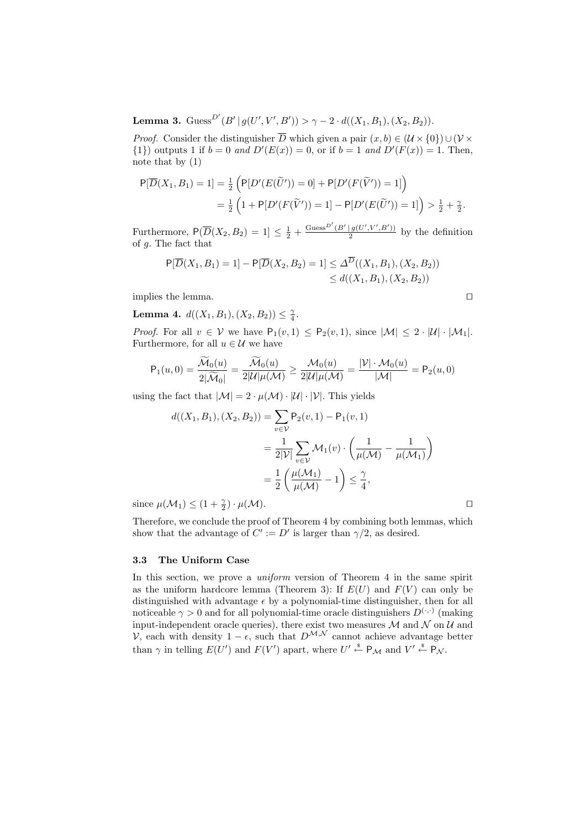**Lemma 3.**  $\text{Gauss}^{D'}(B' | g(U', V', B')) > \gamma - 2 \cdot d((X_1, B_1), (X_2, B_2)).$ 

*Proof.* Consider the distinguisher  $\overline{D}$  which given a pair  $(x, b) \in (\mathcal{U} \times \{0\}) \cup (\mathcal{V} \times$  $\{1\}$  outputs 1 if  $b = 0$  and  $D'(E(x)) = 0$ , or if  $b = 1$  and  $D'(F(x)) = 1$ . Then, note that by (1)

$$
P[\overline{D}(X_1, B_1) = 1] = \frac{1}{2} \left( P[D'(E(\widetilde{U}')) = 0] + P[D'(F(\widetilde{V}')) = 1] \right)
$$
  
=  $\frac{1}{2} \left( 1 + P[D'(F(\widetilde{V}')) = 1] - P[D'(E(\widetilde{U}')) = 1] \right) > \frac{1}{2} + \frac{\gamma}{2}.$ 

Furthermore,  $P(\overline{D}(X_2, B_2) = 1] \le \frac{1}{2} + \frac{Guss^{D'}(B' | g(U', V', B'))}{2}$  $\frac{g(U,V,B')}{2}$  by the definition of g. The fact that

$$
P[\overline{D}(X_1, B_1) = 1] - P[\overline{D}(X_2, B_2) = 1] \le \Delta^{\overline{D}}((X_1, B_1), (X_2, B_2))
$$
  
\$\le d((X\_1, B\_1), (X\_2, B\_2))\$

implies the lemma.

Lemma 4.  $d((X_1, B_1), (X_2, B_2)) \leq \frac{\gamma}{4}$ .

*Proof.* For all  $v \in V$  we have  $P_1(v, 1) \leq P_2(v, 1)$ , since  $|M| \leq 2 \cdot |U| \cdot |M_1|$ . Furthermore, for all  $u \in \mathcal{U}$  we have

$$
\mathsf{P}_1(u,0) = \frac{\widetilde{\mathcal{M}}_0(u)}{2|\widetilde{\mathcal{M}}_0|} = \frac{\widetilde{\mathcal{M}}_0(u)}{2|\mathcal{U}|\mu(\mathcal{M})} \ge \frac{\mathcal{M}_0(u)}{2|\mathcal{U}|\mu(\mathcal{M})} = \frac{|\mathcal{V}| \cdot \mathcal{M}_0(u)}{|\mathcal{M}|} = \mathsf{P}_2(u,0)
$$

using the fact that  $|\mathcal{M}| = 2 \cdot \mu(\mathcal{M}) \cdot |\mathcal{U}| \cdot |\mathcal{V}|$ . This yields

$$
d((X_1, B_1), (X_2, B_2)) = \sum_{v \in \mathcal{V}} P_2(v, 1) - P_1(v, 1)
$$
  
= 
$$
\frac{1}{2|\mathcal{V}|} \sum_{v \in \mathcal{V}} \mathcal{M}_1(v) \cdot \left(\frac{1}{\mu(\mathcal{M})} - \frac{1}{\mu(\mathcal{M}_1)}\right)
$$
  
= 
$$
\frac{1}{2} \left(\frac{\mu(\mathcal{M}_1)}{\mu(\mathcal{M})} - 1\right) \le \frac{\gamma}{4},
$$

since  $\mu(\mathcal{M}_1) \leq (1 + \frac{\gamma}{2}) \cdot \mu(\mathcal{M}).$ 

Therefore, we conclude the proof of Theorem 4 by combining both lemmas, which show that the advantage of  $C' := D'$  is larger than  $\gamma/2$ , as desired.

#### 3.3 The Uniform Case

In this section, we prove a *uniform* version of Theorem 4 in the same spirit as the uniform hardcore lemma (Theorem 3): If  $E(U)$  and  $F(V)$  can only be distinguished with advantage  $\epsilon$  by a polynomial-time distinguisher, then for all noticeable  $\gamma > 0$  and for all polynomial-time oracle distinguishers  $D^{(\cdot,\cdot)}$  (making input-independent oracle queries), there exist two measures  $\mathcal M$  and  $\mathcal N$  on  $\mathcal U$  and  $\mathcal{V}$ , each with density  $1 - \epsilon$ , such that  $D^{\mathcal{M}, \mathcal{N}}$  cannot achieve advantage better than  $\gamma$  in telling  $E(U')$  and  $F(V')$  apart, where  $U' \stackrel{\$}{\leftarrow} P_{\mathcal{M}}$  and  $V' \stackrel{\$}{\leftarrow} P_{\mathcal{N}}$ .

$$
\Box
$$

$$
\Box
$$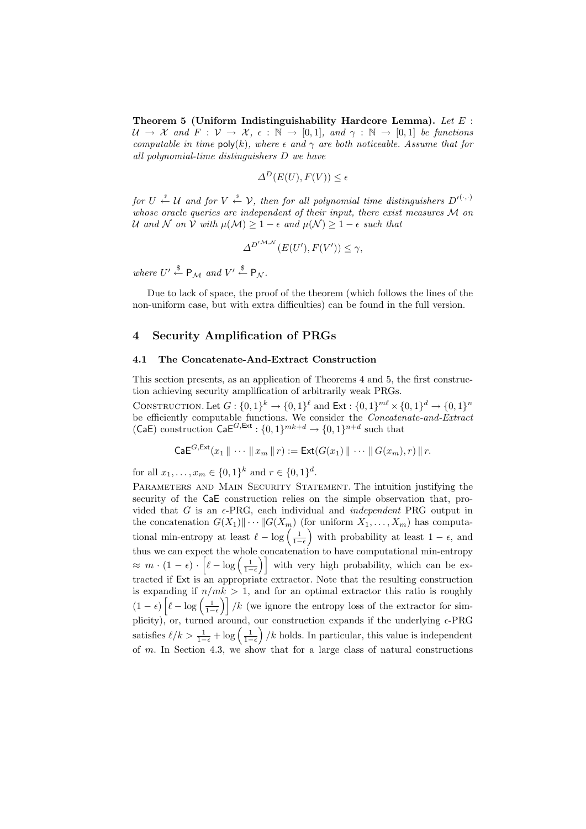Theorem 5 (Uniform Indistinguishability Hardcore Lemma). Let  $E$ :  $\mathcal{U} \to \mathcal{X}$  and  $F: \mathcal{V} \to \mathcal{X}, \epsilon: \mathbb{N} \to [0,1],$  and  $\gamma: \mathbb{N} \to [0,1]$  be functions computable in time  $\mathsf{poly}(k)$ , where  $\epsilon$  and  $\gamma$  are both noticeable. Assume that for all polynomial-time distinguishers D we have

$$
\Delta^D(E(U), F(V)) \le \epsilon
$$

for  $U \stackrel{s}{\leftarrow} U$  and for  $V \stackrel{s}{\leftarrow} V$ , then for all polynomial time distinguishers  $D'^{(\cdot,\cdot)}$ whose oracle queries are independent of their input, there exist measures M on U and N on V with  $\mu(\mathcal{M}) \geq 1 - \epsilon$  and  $\mu(\mathcal{N}) \geq 1 - \epsilon$  such that

$$
\Delta^{D^{\prime M,\mathcal{N}}}(E(U'),F(V')) \leq \gamma,
$$

where  $U' \stackrel{\$}{\leftarrow} P_{\mathcal{M}}$  and  $V' \stackrel{\$}{\leftarrow} P_{\mathcal{N}}$ .

Due to lack of space, the proof of the theorem (which follows the lines of the non-uniform case, but with extra difficulties) can be found in the full version.

# 4 Security Amplification of PRGs

### 4.1 The Concatenate-And-Extract Construction

This section presents, as an application of Theorems 4 and 5, the first construction achieving security amplification of arbitrarily weak PRGs.

CONSTRUCTION. Let  $G: \{0,1\}^k \to \{0,1\}^{\ell}$  and  $\text{Ext}: \{0,1\}^{m\ell} \times \{0,1\}^d \to \{0,1\}^n$ be efficiently computable functions. We consider the *Concatenate-and-Extract* (CaE) construction  $\mathsf{CaE}^{G,\mathsf{Ext}}: \{0,1\}^{mk+d} \to \{0,1\}^{n+d}$  such that

$$
\mathsf{CaE}^{G,\mathsf{Ext}}(x_1 \,\Vert \, \cdots \, \Vert \, x_m \,\Vert \, r) := \mathsf{Ext}(G(x_1) \,\Vert \, \cdots \,\Vert \, G(x_m), r) \,\Vert \, r.
$$

for all  $x_1, \ldots, x_m \in \{0,1\}^k$  and  $r \in \{0,1\}^d$ .

PARAMETERS AND MAIN SECURITY STATEMENT. The intuition justifying the security of the CaE construction relies on the simple observation that, provided that  $G$  is an  $\epsilon$ -PRG, each individual and *independent* PRG output in the concatenation  $G(X_1)\|\cdots\|G(X_m)$  (for uniform  $X_1,\ldots,X_m$ ) has computational min-entropy at least  $\ell - \log\left(\frac{1}{1-\epsilon}\right)$  with probability at least  $1-\epsilon$ , and thus we can expect the whole concatenation to have computational min-entropy  $\approx m \cdot (1 - \epsilon) \cdot \left[ \ell - \log \left( \frac{1}{1 - \epsilon} \right) \right]$  with very high probability, which can be extracted if Ext is an appropriate extractor. Note that the resulting construction is expanding if  $n/mk > 1$ , and for an optimal extractor this ratio is roughly  $(1 - \epsilon) \left[ \ell - \log \left( \frac{1}{1 - \epsilon} \right) \right] / k$  (we ignore the entropy loss of the extractor for simplicity), or, turned around, our construction expands if the underlying  $\epsilon$ -PRG satisfies  $\ell/k > \frac{1}{1-\epsilon} + \log\left(\frac{1}{1-\epsilon}\right)/k$  holds. In particular, this value is independent of  $m$ . In Section 4.3, we show that for a large class of natural constructions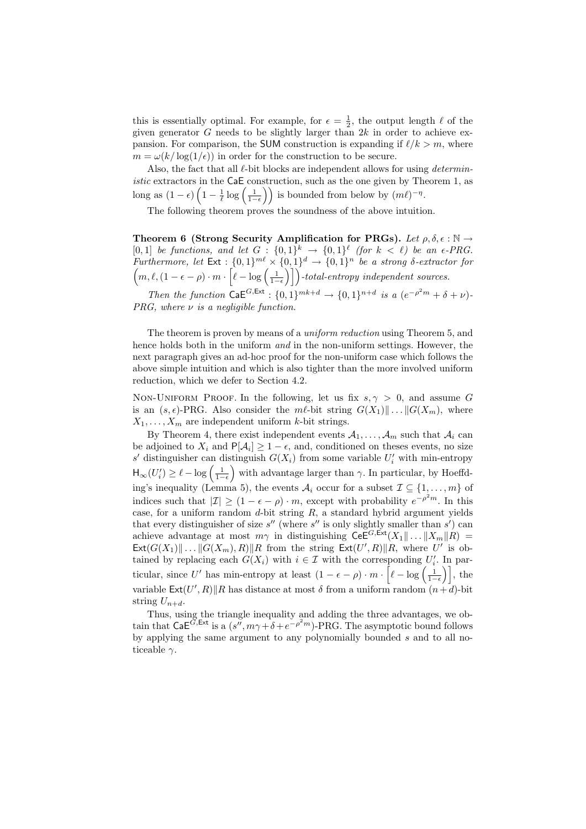this is essentially optimal. For example, for  $\epsilon = \frac{1}{2}$ , the output length  $\ell$  of the given generator G needs to be slightly larger than  $2k$  in order to achieve expansion. For comparison, the SUM construction is expanding if  $\ell/k > m$ , where  $m = \omega(k/\log(1/\epsilon))$  in order for the construction to be secure.

Also, the fact that all  $\ell$ -bit blocks are independent allows for using *determin*istic extractors in the CaE construction, such as the one given by Theorem 1, as long as  $(1 - \epsilon) \left(1 - \frac{1}{\ell} \log \left(\frac{1}{1 - \epsilon}\right)\right)$  is bounded from below by  $(m\ell)^{-\eta}$ .

The following theorem proves the soundness of the above intuition.

Theorem 6 (Strong Security Amplification for PRGs). Let  $\rho, \delta, \epsilon : \mathbb{N} \to$ [0,1] be functions, and let  $G: \{0,1\}^k \to \{0,1\}^{\ell}$  (for  $k < \ell$ ) be an  $\epsilon$ -PRG. Furthermore, let  $Ext : \{0,1\}^{m\ell} \times \{0,1\}^d \rightarrow \{0,1\}^n$  be a strong  $\delta$ -extractor for  $\left(m, \ell, (1 - \epsilon - \rho) \cdot m \cdot \left[\ell - \log\left(\frac{1}{1-\epsilon}\right)\right]\right)$ -total-entropy independent sources.

Then the function  $\mathsf{CaE}^{G,\mathsf{Ext}}: \{0,1\}^{mk+d} \to \{0,1\}^{n+d}$  is a  $(e^{-\rho^2 m} + \delta + \nu)$ .  $PRG$ , where  $\nu$  is a negligible function.

The theorem is proven by means of a uniform reduction using Theorem 5, and hence holds both in the uniform *and* in the non-uniform settings. However, the next paragraph gives an ad-hoc proof for the non-uniform case which follows the above simple intuition and which is also tighter than the more involved uniform reduction, which we defer to Section 4.2.

NON-UNIFORM PROOF. In the following, let us fix  $s, \gamma > 0$ , and assume G is an  $(s, \epsilon)$ -PRG. Also consider the m $\ell$ -bit string  $G(X_1)\|\ldots\|G(X_m)$ , where  $X_1, \ldots, X_m$  are independent uniform k-bit strings.

By Theorem 4, there exist independent events  $A_1, \ldots, A_m$  such that  $A_i$  can be adjoined to  $X_i$  and  $P[A_i] \geq 1 - \epsilon$ , and, conditioned on theses events, no size  $s'$  distinguisher can distinguish  $G(X_i)$  from some variable  $U'_i$  with min-entropy  $\mathsf{H}_{\infty}(U_i') \geq \ell - \log \left( \frac{1}{1-\epsilon} \right)$  with advantage larger than  $\gamma$ . In particular, by Hoeffding's inequality (Lemma 5), the events  $\mathcal{A}_i$  occur for a subset  $\mathcal{I} \subseteq \{1, \ldots, m\}$  of indices such that  $|\mathcal{I}| \geq (1 - \epsilon - \rho) \cdot m$ , except with probability  $e^{-\rho^2 m}$ . In this case, for a uniform random  $d$ -bit string  $R$ , a standard hybrid argument yields that every distinguisher of size  $s''$  (where  $s''$  is only slightly smaller than  $s'$ ) can achieve advantage at most  $m\gamma$  in distinguishing  $\mathsf{CeE}^{G,\mathsf{Ext}}(X_1\|\ldots\|X_m\|R)$  =  $\textsf{Ext}(G(X_1) \| \dots \| G(X_m), R) \| R$  from the string  $\textsf{Ext}(U', R) \| R$ , where U' is obtained by replacing each  $G(X_i)$  with  $i \in \mathcal{I}$  with the corresponding  $U'_i$ . In particular, since U' has min-entropy at least  $(1 - \epsilon - \rho) \cdot m \cdot \left[\ell - \log\left(\frac{1}{1-\epsilon}\right)\right]$ , the variable  $\textsf{Ext}(U',R)$ ||R has distance at most  $\delta$  from a uniform random  $(n+d)$ -bit string  $U_{n+d}$ .

Thus, using the triangle inequality and adding the three advantages, we obtain that  $\mathsf{CaE}^{\widetilde{G},\mathsf{Ext}}$  is a  $(s'',m\gamma+\delta+e^{-\rho^2 m})$ -PRG. The asymptotic bound follows by applying the same argument to any polynomially bounded s and to all noticeable  $\gamma$ .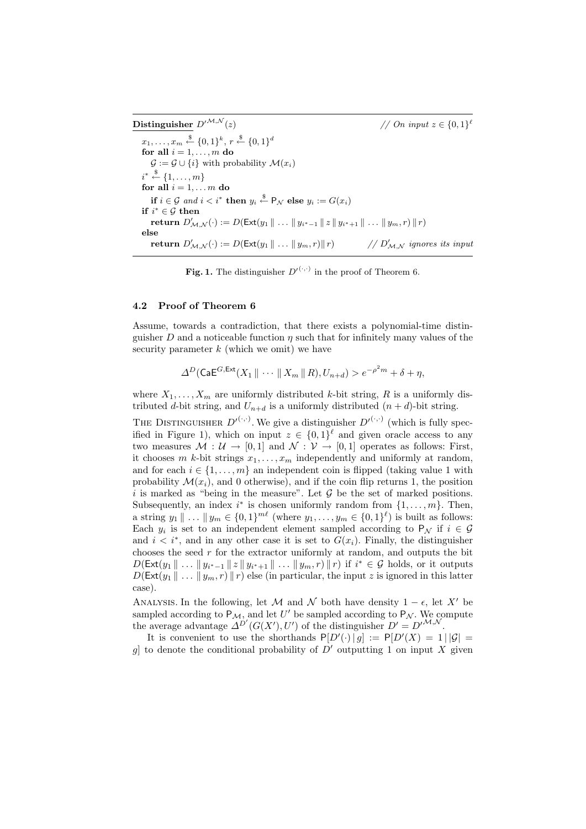Distinguisher  $D^{\prime^{\cal M, \cal N}}$ (z)  $// On input z \in \{0, 1\}^{\ell}$  $x_1, \ldots, x_m \stackrel{\$}{\leftarrow} \{0,1\}^k, r \stackrel{\$}{\leftarrow} \{0,1\}^d$ for all  $i = 1, \ldots, m$  do  $\mathcal{G} := \mathcal{G} \cup \{i\}$  with probability  $\mathcal{M}(x_i)$  $i^* \stackrel{\$}{\leftarrow} \{1, \ldots, m\}$ for all  $i = 1, \ldots m$  do if  $i \in \mathcal{G}$  and  $i < i^*$  then  $y_i \overset{\$}{\leftarrow} \mathsf{P}_\mathcal{N}$  else  $y_i := G(x_i)$ if  $i^* \in \mathcal{G}$  then  $\textbf{return } D'_{\mathcal{M},\mathcal{N}}(\cdot) := D(\mathsf{Ext}(y_1 \parallel \ldots \parallel y_{i^*-1} \parallel z \parallel y_{i^*+1} \parallel \ldots \parallel y_m, r) \parallel r)$ else return  $D'_{\mathcal{M},\mathcal{N}}(\cdot) := D(\mathsf{Ext}(y_1 \parallel \ldots \parallel y_m, r) \parallel r) \qquad \qquad \text{/}/D$  $1/D'_{\mathcal{M},\mathcal{N}}$  ignores its input

**Fig. 1.** The distinguisher  $D'^{(\cdot,\cdot)}$  in the proof of Theorem 6.

#### 4.2 Proof of Theorem 6

Assume, towards a contradiction, that there exists a polynomial-time distinguisher D and a noticeable function  $\eta$  such that for infinitely many values of the security parameter  $k$  (which we omit) we have

$$
\Delta^D(\mathsf{CaE}^{G,\mathsf{Ext}}(X_1 \parallel \cdots \parallel X_m \parallel R), U_{n+d}) > e^{-\rho^2 m} + \delta + \eta,
$$

where  $X_1, \ldots, X_m$  are uniformly distributed k-bit string, R is a uniformly distributed d-bit string, and  $U_{n+d}$  is a uniformly distributed  $(n+d)$ -bit string.

THE DISTINGUISHER  $D^{(.,.)}$ . We give a distinguisher  $D^{(\cdot,.)}$  (which is fully specified in Figure 1), which on input  $z \in \{0,1\}^{\ell}$  and given oracle access to any two measures  $\mathcal{M}: \mathcal{U} \to [0,1]$  and  $\mathcal{N}: \mathcal{V} \to [0,1]$  operates as follows: First, it chooses m k-bit strings  $x_1, \ldots, x_m$  independently and uniformly at random, and for each  $i \in \{1, \ldots, m\}$  an independent coin is flipped (taking value 1 with probability  $\mathcal{M}(x_i)$ , and 0 otherwise), and if the coin flip returns 1, the position i is marked as "being in the measure". Let  $\mathcal G$  be the set of marked positions. Subsequently, an index  $i^*$  is chosen uniformly random from  $\{1, \ldots, m\}$ . Then, a string  $y_1 \parallel ... \parallel y_m \in \{0,1\}^{m\ell}$  (where  $y_1, ..., y_m \in \{0,1\}^{\ell}$ ) is built as follows: Each  $y_i$  is set to an independent element sampled according to  $P_{\mathcal{N}}$  if  $i \in \mathcal{G}$ and  $i < i^*$ , and in any other case it is set to  $G(x_i)$ . Finally, the distinguisher chooses the seed r for the extractor uniformly at random, and outputs the bit  $D(\mathsf{Ext}(y_1 \| \dots \| y_{i^*-1} \| z \| y_{i^*+1} \| \dots \| y_m, r) \| r)$  if  $i^* \in \mathcal{G}$  holds, or it outputs  $D(\textsf{Ext}(y_1 \mid \ldots \mid y_m, r) \mid r)$  else (in particular, the input z is ignored in this latter case).

ANALYSIS. In the following, let M and N both have density  $1 - \epsilon$ , let X' be sampled according to  $P_M$ , and let U' be sampled according to  $P_N$ . We compute the average advantage  $\Delta^{D'}(G(X'), U')$  of the distinguisher  $D' = D'^{\mathcal{M}, \mathcal{N}}$ .

It is convenient to use the shorthands  $P[D'(\cdot) | g] := P[D'(X) = 1 | |G|$ g] to denote the conditional probability of  $D'$  outputting 1 on input X given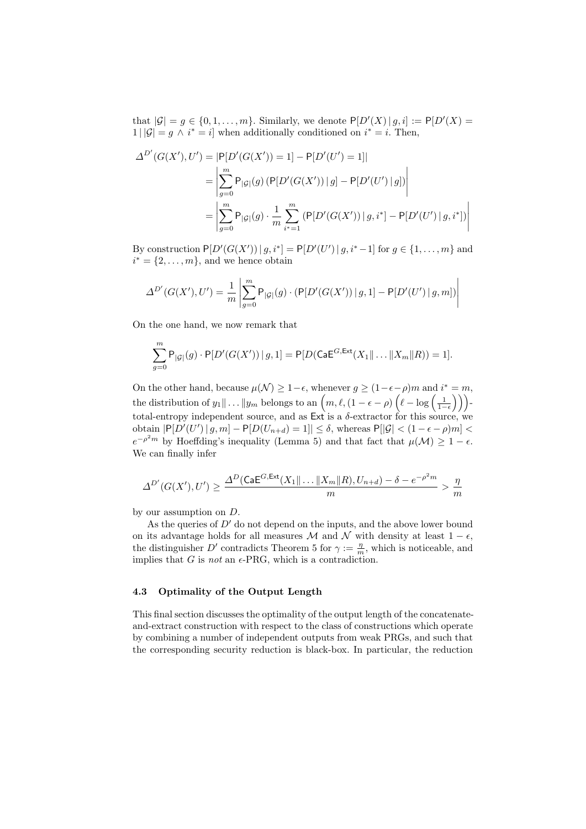that  $|\mathcal{G}| = g \in \{0, 1, \ldots, m\}$ . Similarly, we denote  $P[D'(X) | g, i] := P[D'(X) =$  $1||\mathcal{G}| = g \wedge i^* = i$  when additionally conditioned on  $i^* = i$ . Then,

$$
\Delta^{D'}(G(X'), U') = |P[D'(G(X')) = 1] - P[D'(U') = 1]|
$$
  
= 
$$
\left| \sum_{g=0}^{m} P_{|G|}(g) (P[D'(G(X')) | g] - P[D'(U') | g]) \right|
$$
  
= 
$$
\left| \sum_{g=0}^{m} P_{|G|}(g) \cdot \frac{1}{m} \sum_{i^* = 1}^{m} (P[D'(G(X')) | g, i^*] - P[D'(U') | g, i^*]) \right|
$$

By construction  $P[D'(G(X')) | g, i^*] = P[D'(U') | g, i^* - 1]$  for  $g \in \{1, ..., m\}$  and  $i^* = \{2, \ldots, m\}$ , and we hence obtain

$$
\Delta^{D'}(G(X'), U') = \frac{1}{m} \left| \sum_{g=0}^{m} \mathsf{P}_{|G|}(g) \cdot (\mathsf{P}[D'(G(X')) \mid g, 1] - \mathsf{P}[D'(U') \mid g, m]) \right|
$$

On the one hand, we now remark that

$$
\sum_{g=0}^{m} P_{|G|}(g) \cdot P[D'(G(X')) | g, 1] = P[D(\mathsf{CaE}^{G, \mathsf{Ext}}(X_1 \| \dots \| X_m \| R)) = 1].
$$

On the other hand, because  $\mu(\mathcal{N}) \geq 1 - \epsilon$ , whenever  $g \geq (1 - \epsilon - \rho)m$  and  $i^* = m$ , the distribution of  $y_1 \| \ldots \| y_m$  belongs to an  $\left( m, \ell, (1 - \epsilon - \rho) \left( \ell - \log \left( \frac{1}{1 - \epsilon} \right) \right) \right)$ total-entropy independent source, and as  $Ext$  is a  $\delta$ -extractor for this source, we obtain  $\left| \mathsf{P}[D'(U') \mid g, m] - \mathsf{P}[D(U_{n+d}) = 1] \right| \leq \delta$ , whereas  $\mathsf{P}[|\mathcal{G}| < (1 - \epsilon - \rho)m]$  $e^{-\rho^2 m}$  by Hoeffding's inequality (Lemma 5) and that fact that  $\mu(\mathcal{M}) \geq 1 - \epsilon$ . We can finally infer

$$
\Delta^{D'}(G(X'), U') \ge \frac{\Delta^D(\text{CaE}^{G, \text{Ext}}(X_1 \| \dots \| X_m \| R), U_{n+d}) - \delta - e^{-\rho^2 m}}{m} > \frac{\eta}{m}
$$

by our assumption on D.

As the queries of  $D'$  do not depend on the inputs, and the above lower bound on its advantage holds for all measures  $M$  and  $N$  with density at least  $1 - \epsilon$ , the distinguisher D' contradicts Theorem 5 for  $\gamma := \frac{\eta}{m}$ , which is noticeable, and implies that G is not an  $\epsilon$ -PRG, which is a contradiction.

# 4.3 Optimality of the Output Length

This final section discusses the optimality of the output length of the concatenateand-extract construction with respect to the class of constructions which operate by combining a number of independent outputs from weak PRGs, and such that the corresponding security reduction is black-box. In particular, the reduction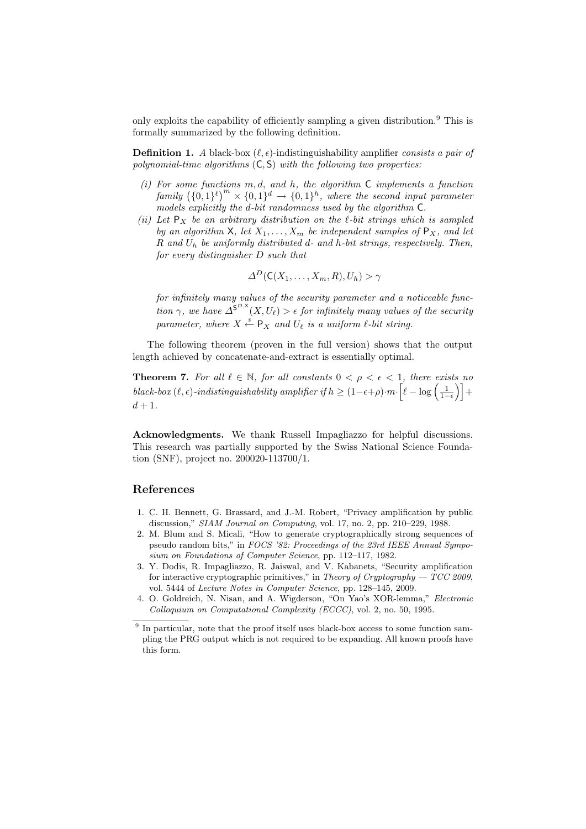only exploits the capability of efficiently sampling a given distribution.<sup>9</sup> This is formally summarized by the following definition.

**Definition 1.** A black-box  $(\ell, \epsilon)$ -indistinguishability amplifier consists a pair of polynomial-time algorithms  $(C, S)$  with the following two properties:

- (i) For some functions  $m, d,$  and  $h$ , the algorithm  $C$  implements a function family  $({0,1}^{\ell})^m \times {0,1}^d \rightarrow {0,1}^h$ , where the second input parameter models explicitly the d-bit randomness used by the algorithm C.
- (ii) Let  $P_X$  be an arbitrary distribution on the  $\ell$ -bit strings which is sampled by an algorithm X, let  $X_1, \ldots, X_m$  be independent samples of  $P_X$ , and let  $R$  and  $U_h$  be uniformly distributed  $d$ - and  $h$ -bit strings, respectively. Then, for every distinguisher D such that

$$
\Delta^D(\mathsf{C}(X_1,\ldots,X_m,R),U_h) > \gamma
$$

for infinitely many values of the security parameter and a noticeable function  $\gamma$ , we have  $\Delta^{S^{D,X}}(X,U_{\ell}) > \epsilon$  for infinitely many values of the security parameter, where  $X \stackrel{s}{\leftarrow} \mathsf{P}_X$  and  $U_\ell$  is a uniform  $\ell$ -bit string.

The following theorem (proven in the full version) shows that the output length achieved by concatenate-and-extract is essentially optimal.

**Theorem 7.** For all  $\ell \in \mathbb{N}$ , for all constants  $0 < \rho < \epsilon < 1$ , there exists no  $black$ -box  $(\ell, \epsilon)$ -indistinguishability amplifier if  $h \geq (1-\epsilon+\rho) \cdot m \cdot \left[\ell - \log\left(\frac{1}{1-\epsilon}\right)\right] +$  $d+1$ .

Acknowledgments. We thank Russell Impagliazzo for helpful discussions. This research was partially supported by the Swiss National Science Foundation (SNF), project no. 200020-113700/1.

# References

- 1. C. H. Bennett, G. Brassard, and J.-M. Robert, "Privacy amplification by public discussion," SIAM Journal on Computing, vol. 17, no. 2, pp. 210–229, 1988.
- 2. M. Blum and S. Micali, "How to generate cryptographically strong sequences of pseudo random bits," in FOCS '82: Proceedings of the 23rd IEEE Annual Symposium on Foundations of Computer Science, pp. 112–117, 1982.
- 3. Y. Dodis, R. Impagliazzo, R. Jaiswal, and V. Kabanets, "Security amplification for interactive cryptographic primitives," in Theory of Cryptography  $- TCC$  2009, vol. 5444 of Lecture Notes in Computer Science, pp. 128–145, 2009.
- 4. O. Goldreich, N. Nisan, and A. Wigderson, "On Yao's XOR-lemma," Electronic Colloquium on Computational Complexity (ECCC), vol. 2, no. 50, 1995.
- <sup>9</sup> In particular, note that the proof itself uses black-box access to some function sampling the PRG output which is not required to be expanding. All known proofs have this form.